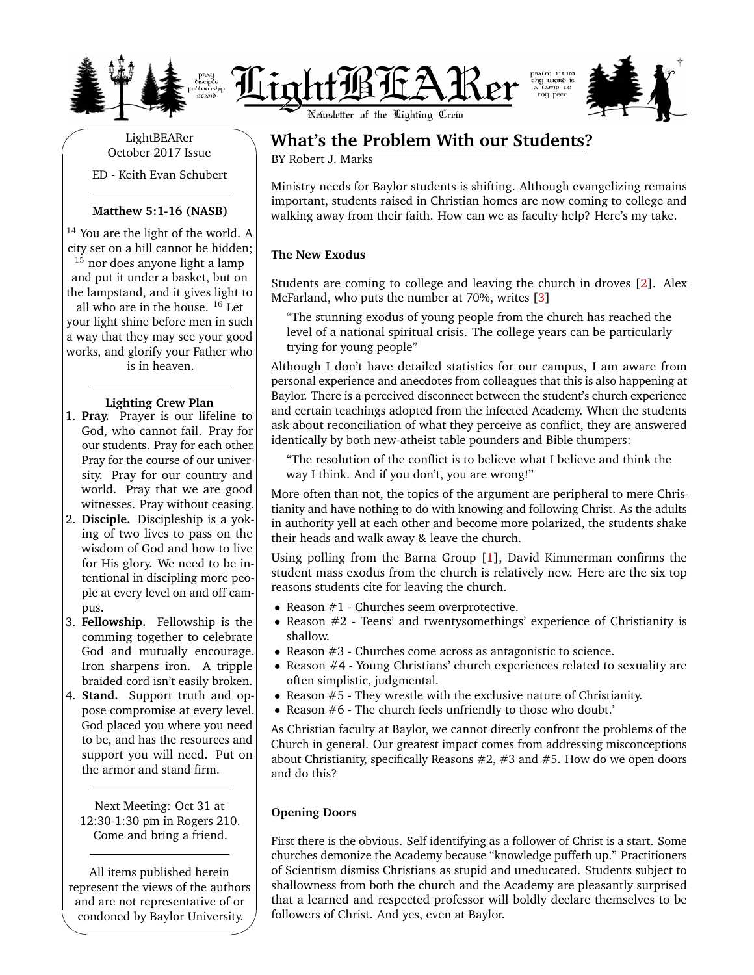





✬ LightBEARer October 2017 Issue ED - Keith Evan Schubert

#### **Matthew 5:1-16 (NASB)**

<sup>14</sup> You are the light of the world. A city set on a hill cannot be hidden;

 $15$  nor does anyone light a lamp and put it under a basket, but on the lampstand, and it gives light to all who are in the house.  $16$  Let your light shine before men in such a way that they may see your good

works, and glorify your Father who is in heaven.

#### **Lighting Crew Plan**

- 1. **Pray.** Prayer is our lifeline to God, who cannot fail. Pray for our students. Pray for each other. Pray for the course of our university. Pray for our country and world. Pray that we are good witnesses. Pray without ceasing.
- 2. **Disciple.** Discipleship is a yoking of two lives to pass on the wisdom of God and how to live for His glory. We need to be intentional in discipling more people at every level on and off campus.
- 3. **Fellowship.** Fellowship is the comming together to celebrate God and mutually encourage. Iron sharpens iron. A tripple braided cord isn't easily broken.
- 4. **Stand.** Support truth and oppose compromise at every level. God placed you where you need to be, and has the resources and support you will need. Put on the armor and stand firm.

Next Meeting: Oct 31 at 12:30-1:30 pm in Rogers 210. Come and bring a friend.

All items published herein represent the views of the authors and are not representative of or condoned by Baylor University.

✫

# ✩ **What's the Problem With our Students?**

BY Robert J. Marks

Ministry needs for Baylor students is shifting. Although evangelizing remains important, students raised in Christian homes are now coming to college and walking away from their faith. How can we as faculty help? Here's my take.

## **The New Exodus**

Students are coming to college and leaving the church in droves [\[2\]](#page-2-0). Alex McFarland, who puts the number at 70%, writes [\[3\]](#page-2-1)

"The stunning exodus of young people from the church has reached the level of a national spiritual crisis. The college years can be particularly trying for young people"

Although I don't have detailed statistics for our campus, I am aware from personal experience and anecdotes from colleagues that this is also happening at Baylor. There is a perceived disconnect between the student's church experience and certain teachings adopted from the infected Academy. When the students ask about reconciliation of what they perceive as conflict, they are answered identically by both new-atheist table pounders and Bible thumpers:

"The resolution of the conflict is to believe what I believe and think the way I think. And if you don't, you are wrong!"

More often than not, the topics of the argument are peripheral to mere Christianity and have nothing to do with knowing and following Christ. As the adults in authority yell at each other and become more polarized, the students shake their heads and walk away & leave the church.

Using polling from the Barna Group [\[1\]](#page-2-2), David Kimmerman confirms the student mass exodus from the church is relatively new. Here are the six top reasons students cite for leaving the church.

- Reason  $#1$  Churches seem overprotective.
- Reason #2 Teens' and twentysomethings' experience of Christianity is shallow.
- Reason #3 Churches come across as antagonistic to science.
- Reason #4 Young Christians' church experiences related to sexuality are often simplistic, judgmental.
- Reason #5 They wrestle with the exclusive nature of Christianity.
- Reason #6 The church feels unfriendly to those who doubt.'

As Christian faculty at Baylor, we cannot directly confront the problems of the Church in general. Our greatest impact comes from addressing misconceptions about Christianity, specifically Reasons  $#2, #3$  and  $#5$ . How do we open doors and do this?

## **Opening Doors**

First there is the obvious. Self identifying as a follower of Christ is a start. Some churches demonize the Academy because "knowledge puffeth up." Practitioners of Scientism dismiss Christians as stupid and uneducated. Students subject to shallowness from both the church and the Academy are pleasantly surprised that a learned and respected professor will boldly declare themselves to be followers of Christ. And yes, even at Baylor.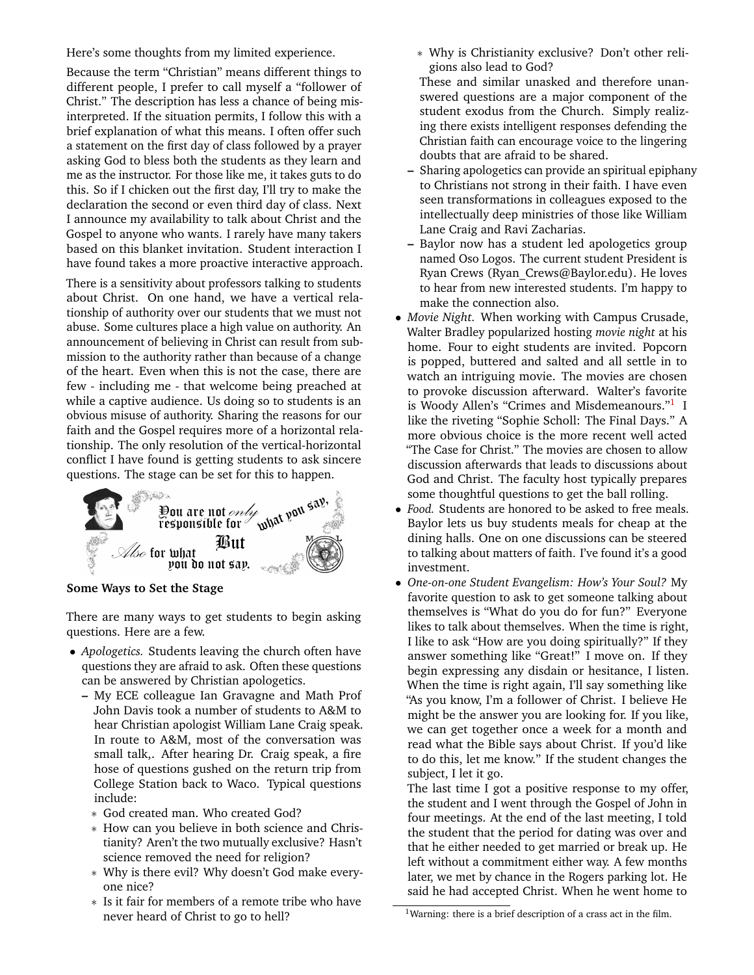Here's some thoughts from my limited experience.

Because the term "Christian" means different things to different people, I prefer to call myself a "follower of Christ." The description has less a chance of being misinterpreted. If the situation permits, I follow this with a brief explanation of what this means. I often offer such a statement on the first day of class followed by a prayer asking God to bless both the students as they learn and me as the instructor. For those like me, it takes guts to do this. So if I chicken out the first day, I'll try to make the declaration the second or even third day of class. Next I announce my availability to talk about Christ and the Gospel to anyone who wants. I rarely have many takers based on this blanket invitation. Student interaction I have found takes a more proactive interactive approach.

There is a sensitivity about professors talking to students about Christ. On one hand, we have a vertical relationship of authority over our students that we must not abuse. Some cultures place a high value on authority. An announcement of believing in Christ can result from submission to the authority rather than because of a change of the heart. Even when this is not the case, there are few - including me - that welcome being preached at while a captive audience. Us doing so to students is an obvious misuse of authority. Sharing the reasons for our faith and the Gospel requires more of a horizontal relationship. The only resolution of the vertical-horizontal conflict I have found is getting students to ask sincere questions. The stage can be set for this to happen.



**Some Ways to Set the Stage**

There are many ways to get students to begin asking questions. Here are a few.

- *Apologetics.* Students leaving the church often have questions they are afraid to ask. Often these questions can be answered by Christian apologetics.
	- **–** My ECE colleague Ian Gravagne and Math Prof John Davis took a number of students to A&M to hear Christian apologist William Lane Craig speak. In route to A&M, most of the conversation was small talk,. After hearing Dr. Craig speak, a fire hose of questions gushed on the return trip from College Station back to Waco. Typical questions include:
		- ∗ God created man. Who created God?
		- ∗ How can you believe in both science and Christianity? Aren't the two mutually exclusive? Hasn't science removed the need for religion?
		- ∗ Why is there evil? Why doesn't God make everyone nice?
		- ∗ Is it fair for members of a remote tribe who have never heard of Christ to go to hell?

∗ Why is Christianity exclusive? Don't other religions also lead to God?

These and similar unasked and therefore unanswered questions are a major component of the student exodus from the Church. Simply realizing there exists intelligent responses defending the Christian faith can encourage voice to the lingering doubts that are afraid to be shared.

- **–** Sharing apologetics can provide an spiritual epiphany to Christians not strong in their faith. I have even seen transformations in colleagues exposed to the intellectually deep ministries of those like William Lane Craig and Ravi Zacharias.
- **–** Baylor now has a student led apologetics group named Oso Logos. The current student President is Ryan Crews (Ryan\_Crews@Baylor.edu). He loves to hear from new interested students. I'm happy to make the connection also.
- *Movie Night.* When working with Campus Crusade, Walter Bradley popularized hosting *movie night* at his home. Four to eight students are invited. Popcorn is popped, buttered and salted and all settle in to watch an intriguing movie. The movies are chosen to provoke discussion afterward. Walter's favorite is Woody Allen's "Crimes and Misdemeanours."<sup>[1](#page-1-0)</sup> I like the riveting "Sophie Scholl: The Final Days." A more obvious choice is the more recent well acted "The Case for Christ." The movies are chosen to allow discussion afterwards that leads to discussions about God and Christ. The faculty host typically prepares some thoughtful questions to get the ball rolling.
- *Food.* Students are honored to be asked to free meals. Baylor lets us buy students meals for cheap at the dining halls. One on one discussions can be steered to talking about matters of faith. I've found it's a good investment.
- *One-on-one Student Evangelism: How's Your Soul?* My favorite question to ask to get someone talking about themselves is "What do you do for fun?" Everyone likes to talk about themselves. When the time is right, I like to ask "How are you doing spiritually?" If they answer something like "Great!" I move on. If they begin expressing any disdain or hesitance, I listen. When the time is right again, I'll say something like "As you know, I'm a follower of Christ. I believe He might be the answer you are looking for. If you like, we can get together once a week for a month and read what the Bible says about Christ. If you'd like to do this, let me know." If the student changes the subject, I let it go.

The last time I got a positive response to my offer, the student and I went through the Gospel of John in four meetings. At the end of the last meeting, I told the student that the period for dating was over and that he either needed to get married or break up. He left without a commitment either way. A few months later, we met by chance in the Rogers parking lot. He said he had accepted Christ. When he went home to

<span id="page-1-0"></span><sup>&</sup>lt;sup>1</sup>Warning: there is a brief description of a crass act in the film.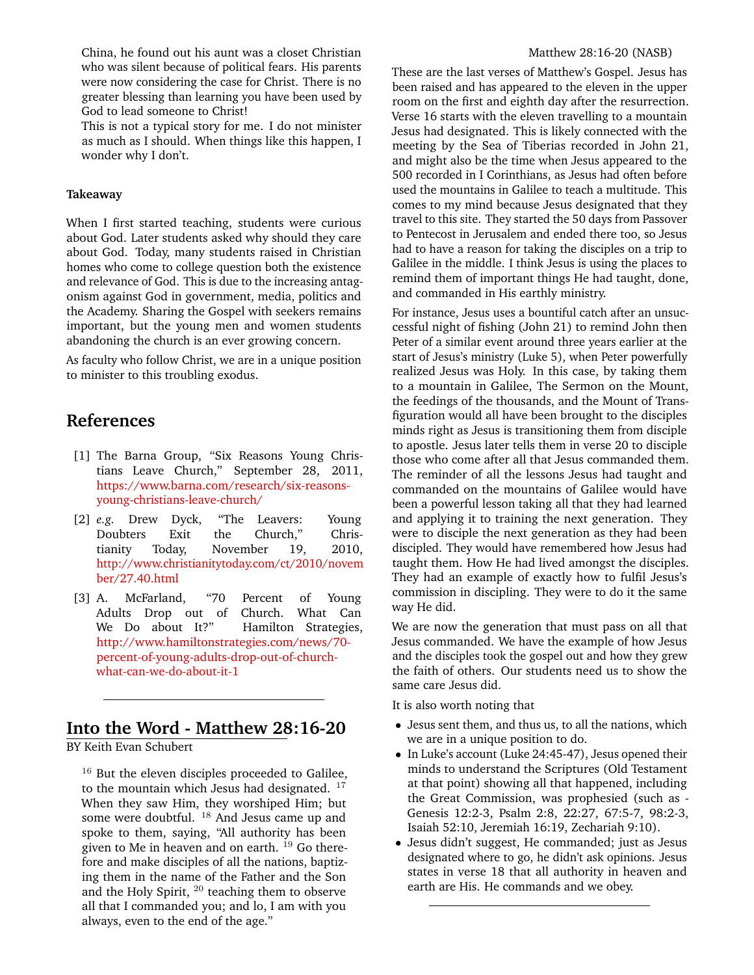China, he found out his aunt was a closet Christian who was silent because of political fears. His parents were now considering the case for Christ. There is no greater blessing than learning you have been used by God to lead someone to Christ!

This is not a typical story for me. I do not minister as much as I should. When things like this happen, I wonder why I don't.

#### **Takeaway**

When I first started teaching, students were curious about God. Later students asked why should they care about God. Today, many students raised in Christian homes who come to college question both the existence and relevance of God. This is due to the increasing antagonism against God in government, media, politics and the Academy. Sharing the Gospel with seekers remains important, but the young men and women students abandoning the church is an ever growing concern.

As faculty who follow Christ, we are in a unique position to minister to this troubling exodus.

# **References**

- <span id="page-2-2"></span>[1] The Barna Group, "Six Reasons Young Christians Leave Church," September 28, 2011, [https://www.barna.com/research/six-reasons](https://www.barna.com/research/six-reasons-young-christians-leave-church/)[young-christians-leave-church/](https://www.barna.com/research/six-reasons-young-christians-leave-church/)
- <span id="page-2-0"></span>[2] *e.g.* Drew Dyck, "The Leavers: Young Doubters Exit the Church," Christianity Today, November 19, 2010, [http://www.christianitytoday.com/ct/2010/novem](http://www.christianitytoday.com/ct/2010/november/27.40.html) [ber/27.40.html](http://www.christianitytoday.com/ct/2010/november/27.40.html)
- <span id="page-2-1"></span>[3] A. McFarland, "70 Percent of Young Adults Drop out of Church. What Can We Do about It?" Hamilton Strategies, [http://www.hamiltonstrategies.com/news/70](http://www.hamiltonstrategies.com/news/70-percent-of-young-adults-drop-out-of-church-what-can-we-do-about-it-1) [percent-of-young-adults-drop-out-of-church](http://www.hamiltonstrategies.com/news/70-percent-of-young-adults-drop-out-of-church-what-can-we-do-about-it-1)[what-can-we-do-about-it-1](http://www.hamiltonstrategies.com/news/70-percent-of-young-adults-drop-out-of-church-what-can-we-do-about-it-1)

# **Into the Word - Matthew 28:16-20**

BY Keith Evan Schubert

 $16$  But the eleven disciples proceeded to Galilee, to the mountain which Jesus had designated. <sup>17</sup> When they saw Him, they worshiped Him; but some were doubtful. <sup>18</sup> And Jesus came up and spoke to them, saying, "All authority has been given to Me in heaven and on earth.  $^{19}$  Go therefore and make disciples of all the nations, baptizing them in the name of the Father and the Son and the Holy Spirit, <sup>20</sup> teaching them to observe all that I commanded you; and lo, I am with you always, even to the end of the age."

#### Matthew 28:16-20 (NASB)

These are the last verses of Matthew's Gospel. Jesus has been raised and has appeared to the eleven in the upper room on the first and eighth day after the resurrection. Verse 16 starts with the eleven travelling to a mountain Jesus had designated. This is likely connected with the meeting by the Sea of Tiberias recorded in John 21, and might also be the time when Jesus appeared to the 500 recorded in I Corinthians, as Jesus had often before used the mountains in Galilee to teach a multitude. This comes to my mind because Jesus designated that they travel to this site. They started the 50 days from Passover to Pentecost in Jerusalem and ended there too, so Jesus had to have a reason for taking the disciples on a trip to Galilee in the middle. I think Jesus is using the places to remind them of important things He had taught, done, and commanded in His earthly ministry.

For instance, Jesus uses a bountiful catch after an unsuccessful night of fishing (John 21) to remind John then Peter of a similar event around three years earlier at the start of Jesus's ministry (Luke 5), when Peter powerfully realized Jesus was Holy. In this case, by taking them to a mountain in Galilee, The Sermon on the Mount, the feedings of the thousands, and the Mount of Transfiguration would all have been brought to the disciples minds right as Jesus is transitioning them from disciple to apostle. Jesus later tells them in verse 20 to disciple those who come after all that Jesus commanded them. The reminder of all the lessons Jesus had taught and commanded on the mountains of Galilee would have been a powerful lesson taking all that they had learned and applying it to training the next generation. They were to disciple the next generation as they had been discipled. They would have remembered how Jesus had taught them. How He had lived amongst the disciples. They had an example of exactly how to fulfil Jesus's commission in discipling. They were to do it the same way He did.

We are now the generation that must pass on all that Jesus commanded. We have the example of how Jesus and the disciples took the gospel out and how they grew the faith of others. Our students need us to show the same care Jesus did.

It is also worth noting that

- Jesus sent them, and thus us, to all the nations, which we are in a unique position to do.
- In Luke's account (Luke 24:45-47), Jesus opened their minds to understand the Scriptures (Old Testament at that point) showing all that happened, including the Great Commission, was prophesied (such as - Genesis 12:2-3, Psalm 2:8, 22:27, 67:5-7, 98:2-3, Isaiah 52:10, Jeremiah 16:19, Zechariah 9:10).
- Jesus didn't suggest, He commanded; just as Jesus designated where to go, he didn't ask opinions. Jesus states in verse 18 that all authority in heaven and earth are His. He commands and we obey.